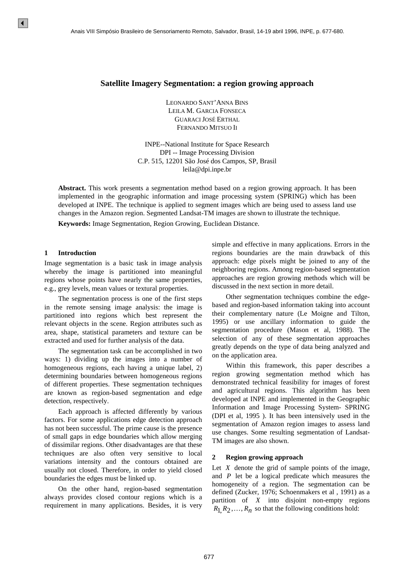#### **Satellite Imagery Segmentation: a region growing approach**

LEONARDO SANT'ANNA BINS LEILA M. GARCIA FONSECA GUARACI JOSÉ ERTHAL FERNANDO MITSUO II

INPE--National Institute for Space Research DPI -- Image Processing Division C.P. 515, 12201 São José dos Campos, SP, Brasil leila@dpi.inpe.br

**Abstract.** This work presents a segmentation method based on a region growing approach. It has been implemented in the geographic information and image processing system (SPRING) which has been developed at INPE. The technique is applied to segment images which are being used to assess land use changes in the Amazon region. Segmented Landsat-TM images are shown to illustrate the technique.

**Keywords:** Image Segmentation, Region Growing, Euclidean Distance.

#### **1 Introduction**

Image segmentation is a basic task in image analysis whereby the image is partitioned into meaningful regions whose points have nearly the same properties, e.g., grey levels, mean values or textural properties.

The segmentation process is one of the first steps in the remote sensing image analysis: the image is partitioned into regions which best represent the relevant objects in the scene. Region attributes such as area, shape, statistical parameters and texture can be extracted and used for further analysis of the data.

The segmentation task can be accomplished in two ways: 1) dividing up the images into a number of homogeneous regions, each having a unique label, 2) determining boundaries between homogeneous regions of different properties. These segmentation techniques are known as region-based segmentation and edge detection, respectively.

Each approach is affected differently by various factors. For some applications edge detection approach has not been successful. The prime cause is the presence of small gaps in edge boundaries which allow merging of dissimilar regions. Other disadvantages are that these techniques are also often very sensitive to local variations intensity and the contours obtained are usually not closed. Therefore, in order to yield closed boundaries the edges must be linked up. A mass vill simplasio Branslein de Semoniamento Remato, Maria VIII Simplasio Drasileiro de Semoniamento Remato,  $1.1274 \text{ M}$ , (ANC (1137 A), (ANC (1137 A), (ANC (1137 A), (ANC (1137 A), (ANC (1137 A), (ANC (1137 A), (ANC

On the other hand, region-based segmentation always provides closed contour regions which is a requirement in many applications. Besides, it is very simple and effective in many applications. Errors in the regions boundaries are the main drawback of this approach: edge pixels might be joined to any of the neighboring regions. Among region-based segmentation approaches are region growing methods which will be discussed in the next section in more detail.

Other segmentation techniques combine the edgebased and region-based information taking into account their complementary nature (Le Moigne and Tilton, 1995) or use ancillary information to guide the segmentation procedure (Mason et al, 1988). The selection of any of these segmentation approaches greatly depends on the type of data being analyzed and on the application area.

Within this framework, this paper describes a region growing segmentation method which has demonstrated technical feasibility for images of forest and agricultural regions. This algorithm has been developed at INPE and implemented in the Geographic Information and Image Processing System- SPRING (DPI et al, 1995 ). It has been intensively used in the segmentation of Amazon region images to assess land use changes. Some resulting segmentation of Landsat-TM images are also shown.

#### **2 Region growing approach**

Let  $X$  denote the grid of sample points of the image, and *P* let be a logical predicate which measures the homogeneity of a region. The segmentation can be defined (Zucker, 1976; Schoenmakers et al , 1991) as a partition of *X* into disjoint non-empty regions  $R_1, R_2, \ldots, R_n$  so that the following conditions hold: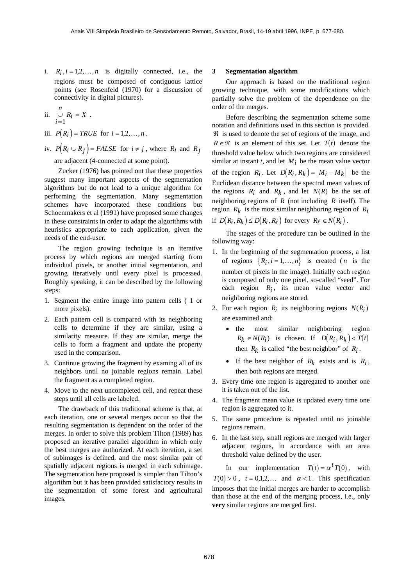i.  $R_i$ ,  $i = 1, 2, ..., n$  is digitally connected, i.e., the regions must be composed of contiguous lattice points (see Rosenfeld (1970) for a discussion of connectivity in digital pictures).

ii. 
$$
\bigcup_{i=1}^n R_i = X.
$$

- iii.  $P(R_i) = TRUE$  for  $i = 1, 2, ..., n$ .
- iv.  $P(R_i \cup R_j) = FALSE$  for  $i \neq j$ , where  $R_i$  and  $R_j$ are adjacent (4-connected at some point).

Zucker (1976) has pointed out that these properties suggest many important aspects of the segmentation algorithms but do not lead to a unique algorithm for performing the segmentation. Many segmentation schemes have incorporated these conditions but Schoenmakers et al (1991) have proposed some changes in these constraints in order to adapt the algorithms with heuristics appropriate to each application, given the needs of the end-user.

The region growing technique is an iterative process by which regions are merged starting from individual pixels, or another initial segmentation, and growing iteratively until every pixel is processed. Roughly speaking, it can be described by the following steps:

- 1. Segment the entire image into pattern cells ( 1 or more pixels).
- 2. Each pattern cell is compared with its neighboring cells to determine if they are similar, using a similarity measure. If they are similar, merge the cells to form a fragment and update the property used in the comparison.
- 3. Continue growing the fragment by examing all of its neighbors until no joinable regions remain. Label the fragment as a completed region.
- 4. Move to the next uncompleted cell, and repeat these steps until all cells are labeled.

The drawback of this traditional scheme is that, at each iteration, one or several merges occur so that the resulting segmentation is dependent on the order of the merges. In order to solve this problem Tilton (1989) has proposed an iterative parallel algorithm in which only the best merges are authorized. At each iteration, a set of subimages is defined, and the most similar pair of spatially adjacent regions is merged in each subimage. The segmentation here proposed is simpler than Tilton's algorithm but it has been provided satisfactory results in the segmentation of some forest and agricultural images.

#### **3 Segmentation algorithm**

Our approach is based on the traditional region growing technique, with some modifications which partially solve the problem of the dependence on the order of the merges.

Before describing the segmentation scheme some notation and definitions used in this section is provided. ℜ is used to denote the set of regions of the image, and  $R \in \mathcal{R}$  is an element of this set. Let  $T(t)$  denote the threshold value below which two regions are considered similar at instant  $t$ , and let  $M_i$  be the mean value vector of the region  $R_i$ . Let  $D(R_i, R_k) = ||M_i - M_k||$  be the Euclidean distance between the spectral mean values of the regions  $R_i$  and  $R_k$ , and let  $N(R)$  be the set of neighboring regions of *R* (not including *R* itself). The region  $R_k$  is the most similar neighboring region of  $R_i$ if  $D(R_i, R_k) \leq D(R_i, R_\ell)$  for every  $R_\ell \in N(R_i)$ .

The stages of the procedure can be outlined in the following way:

- 1. In the beginning of the segmentation process, a list of regions  $\{R_i, i = 1, ..., n\}$  is created (*n* is the number of pixels in the image). Initially each region is composed of only one pixel, so-called "seed". For each region  $R_i$ , its mean value vector and neighboring regions are stored.
- 2. For each region  $R_i$  its neighboring regions  $N(R_i)$ are examined and:
	- the most similar neighboring region  $R_k \in N(R_i)$  is chosen. If  $D(R_i, R_k) < T(t)$ then  $R_k$  is called "the best neighbor" of  $R_i$ .
	- If the best neighbor of  $R_k$  exists and is  $R_i$ , then both regions are merged.
- 3. Every time one region is aggregated to another one it is taken out of the list.
- 4. The fragment mean value is updated every time one region is aggregated to it.
- 5. The same procedure is repeated until no joinable regions remain.
- 6. In the last step, small regions are merged with larger adjacent regions, in accordance with an area threshold value defined by the user.

In our implementation  $T(t) = \alpha^t T(0)$ , with  $T(0) > 0$ ,  $t = 0,1,2,...$  and  $\alpha < 1$ . This specification imposes that the initial merges are harder to accomplish than those at the end of the merging process, i.e., only **very** similar regions are merged first.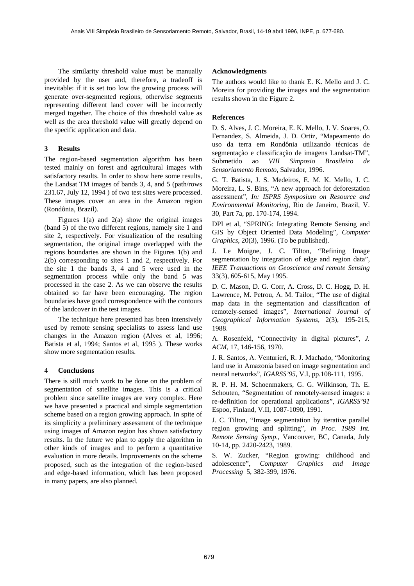The similarity threshold value must be manually provided by the user and, therefore, a tradeoff is inevitable: if it is set too low the growing process will generate over-segmented regions, otherwise segments representing different land cover will be incorrectly merged together. The choice of this threshold value as well as the area threshold value will greatly depend on the specific application and data.

## **3 Results**

The region-based segmentation algorithm has been tested mainly on forest and agricultural images with satisfactory results. In order to show here some results, the Landsat TM images of bands 3, 4, and 5 (path/rows 231.67, July 12, 1994 ) of two test sites were processed. These images cover an area in the Amazon region (Rondônia, Brazil).

Figures 1(a) and 2(a) show the original images (band 5) of the two different regions, namely site 1 and site 2, respectively. For visualization of the resulting segmentation, the original image overlapped with the regions boundaries are shown in the Figures 1(b) and 2(b) corresponding to sites 1 and 2, respectively. For the site 1 the bands 3, 4 and 5 were used in the segmentation process while only the band 5 was processed in the case 2. As we can observe the results obtained so far have been encouraging. The region boundaries have good correspondence with the contours of the landcover in the test images.

The technique here presented has been intensively used by remote sensing specialists to assess land use changes in the Amazon region (Alves et al, 1996; Batista et al, 1994; Santos et al, 1995 ). These works show more segmentation results.

## **4 Conclusions**

There is still much work to be done on the problem of segmentation of satellite images. This is a critical problem since satellite images are very complex. Here we have presented a practical and simple segmentation scheme based on a region growing approach. In spite of its simplicity a preliminary assessment of the technique using images of Amazon region has shown satisfactory results. In the future we plan to apply the algorithm in other kinds of images and to perform a quantitative evaluation in more details. Improvements on the scheme proposed, such as the integration of the region-based and edge-based information, which has been proposed in many papers, are also planned.

## **Acknowledgments**

The authors would like to thank E. K. Mello and J. C. Moreira for providing the images and the segmentation results shown in the Figure 2.

# **References**

D. S. Alves, J. C. Moreira, E. K. Mello, J. V. Soares, O. Fernandez, S. Almeida, J. D. Ortiz, "Mapeamento do uso da terra em Rondônia utilizando técnicas de segmentação e classificação de imagens Landsat-TM", Submetido ao *VIII Simposio Brasileiro de Sensoriamento Remoto*, Salvador, 1996.

G. T. Batista, J. S. Medeiros, E. M. K. Mello, J. C. Moreira, L. S. Bins, "A new approach for deforestation assessment", *In: ISPRS Symposium on Resource and Environmental Monitoring*, Rio de Janeiro, Brazil, V. 30, Part 7a, pp. 170-174, 1994.

DPI et al, "SPRING: Integrating Remote Sensing and GIS by Object Oriented Data Modeling", *Computer Graphics*, 20(3), 1996. (To be published).

J. Le Moigne, J. C. Tilton, "Refining Image segmentation by integration of edge and region data", *IEEE Transactions on Geoscience and remote Sensing* 33(3), 605-615, May 1995.

D. C. Mason, D. G. Corr, A. Cross, D. C. Hogg, D. H. Lawrence, M. Petrou, A. M. Tailor, "The use of digital map data in the segmentation and classification of remotely-sensed images", *International Journal of Geographical Information Systems*, 2(3), 195-215, 1988.

A. Rosenfeld, "Connectivity in digital pictures", *J. ACM*, 17, 146-156, 1970.

J. R. Santos, A. Venturieri, R. J. Machado, "Monitoring land use in Amazonia based on image segmentation and neural networks", *IGARSS'95*, V.I, pp.108-111, 1995.

R. P. H. M. Schoenmakers, G. G. Wilkinson, Th. E. Schouten, "Segmentation of remotely-sensed images: a re-definition for operational applications", *IGARSS'91* Espoo, Finland, V.II, 1087-1090, 1991.

J. C. Tilton, "Image segmentation by iterative parallel region growing and splitting", *in Proc. 1989 Int. Remote Sensing Symp*., Vancouver, BC, Canada, July 10-14, pp. 2420-2423, 1989.

S. W. Zucker, "Region growing: childhood and adolescence", *Computer Graphics and Image Processing* 5, 382-399, 1976.